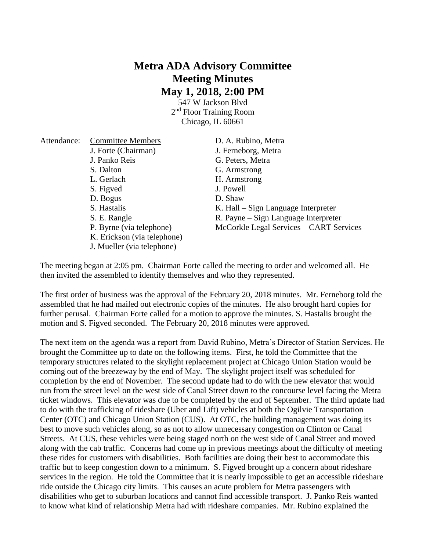## **Metra ADA Advisory Committee Meeting Minutes May 1, 2018, 2:00 PM**

547 W Jackson Blvd 2<sup>nd</sup> Floor Training Room Chicago, IL 60661

| Attendance: | <b>Committee Members</b>    | D. A. Rubino, Metra                     |
|-------------|-----------------------------|-----------------------------------------|
|             | J. Forte (Chairman)         | J. Ferneborg, Metra                     |
|             | J. Panko Reis               | G. Peters, Metra                        |
|             | S. Dalton                   | G. Armstrong                            |
|             | L. Gerlach                  | H. Armstrong                            |
|             | S. Figved                   | J. Powell                               |
|             | D. Bogus                    | D. Shaw                                 |
|             | S. Hastalis                 | K. Hall – Sign Language Interpreter     |
|             | S. E. Rangle                | R. Payne – Sign Language Interpreter    |
|             | P. Byrne (via telephone)    | McCorkle Legal Services – CART Services |
|             | K. Erickson (via telephone) |                                         |
|             | J. Mueller (via telephone)  |                                         |

The meeting began at 2:05 pm. Chairman Forte called the meeting to order and welcomed all. He then invited the assembled to identify themselves and who they represented.

The first order of business was the approval of the February 20, 2018 minutes. Mr. Ferneborg told the assembled that he had mailed out electronic copies of the minutes. He also brought hard copies for further perusal. Chairman Forte called for a motion to approve the minutes. S. Hastalis brought the motion and S. Figved seconded. The February 20, 2018 minutes were approved.

The next item on the agenda was a report from David Rubino, Metra's Director of Station Services. He brought the Committee up to date on the following items. First, he told the Committee that the temporary structures related to the skylight replacement project at Chicago Union Station would be coming out of the breezeway by the end of May. The skylight project itself was scheduled for completion by the end of November. The second update had to do with the new elevator that would run from the street level on the west side of Canal Street down to the concourse level facing the Metra ticket windows. This elevator was due to be completed by the end of September. The third update had to do with the trafficking of rideshare (Uber and Lift) vehicles at both the Ogilvie Transportation Center (OTC) and Chicago Union Station (CUS). At OTC, the building management was doing its best to move such vehicles along, so as not to allow unnecessary congestion on Clinton or Canal Streets. At CUS, these vehicles were being staged north on the west side of Canal Street and moved along with the cab traffic. Concerns had come up in previous meetings about the difficulty of meeting these rides for customers with disabilities. Both facilities are doing their best to accommodate this traffic but to keep congestion down to a minimum. S. Figved brought up a concern about rideshare services in the region. He told the Committee that it is nearly impossible to get an accessible rideshare ride outside the Chicago city limits. This causes an acute problem for Metra passengers with disabilities who get to suburban locations and cannot find accessible transport. J. Panko Reis wanted to know what kind of relationship Metra had with rideshare companies. Mr. Rubino explained the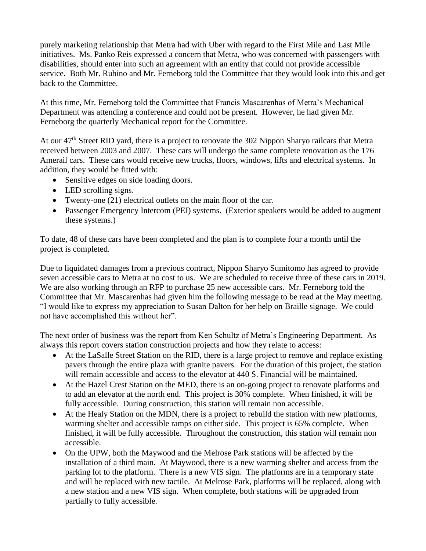purely marketing relationship that Metra had with Uber with regard to the First Mile and Last Mile initiatives. Ms. Panko Reis expressed a concern that Metra, who was concerned with passengers with disabilities, should enter into such an agreement with an entity that could not provide accessible service. Both Mr. Rubino and Mr. Ferneborg told the Committee that they would look into this and get back to the Committee.

At this time, Mr. Ferneborg told the Committee that Francis Mascarenhas of Metra's Mechanical Department was attending a conference and could not be present. However, he had given Mr. Ferneborg the quarterly Mechanical report for the Committee.

At our 47<sup>th</sup> Street RID yard, there is a project to renovate the 302 Nippon Sharyo railcars that Metra received between 2003 and 2007. These cars will undergo the same complete renovation as the 176 Amerail cars. These cars would receive new trucks, floors, windows, lifts and electrical systems. In addition, they would be fitted with:

- Sensitive edges on side loading doors.
- LED scrolling signs.
- Twenty-one (21) electrical outlets on the main floor of the car.
- Passenger Emergency Intercom (PEI) systems. (Exterior speakers would be added to augment these systems.)

To date, 48 of these cars have been completed and the plan is to complete four a month until the project is completed.

Due to liquidated damages from a previous contract, Nippon Sharyo Sumitomo has agreed to provide seven accessible cars to Metra at no cost to us. We are scheduled to receive three of these cars in 2019. We are also working through an RFP to purchase 25 new accessible cars. Mr. Ferneborg told the Committee that Mr. Mascarenhas had given him the following message to be read at the May meeting. "I would like to express my appreciation to Susan Dalton for her help on Braille signage. We could not have accomplished this without her".

The next order of business was the report from Ken Schultz of Metra's Engineering Department. As always this report covers station construction projects and how they relate to access:

- At the LaSalle Street Station on the RID, there is a large project to remove and replace existing pavers through the entire plaza with granite pavers. For the duration of this project, the station will remain accessible and access to the elevator at 440 S. Financial will be maintained.
- At the Hazel Crest Station on the MED, there is an on-going project to renovate platforms and to add an elevator at the north end. This project is 30% complete. When finished, it will be fully accessible. During construction, this station will remain non accessible.
- At the Healy Station on the MDN, there is a project to rebuild the station with new platforms, warming shelter and accessible ramps on either side. This project is 65% complete. When finished, it will be fully accessible. Throughout the construction, this station will remain non accessible.
- On the UPW, both the Maywood and the Melrose Park stations will be affected by the installation of a third main. At Maywood, there is a new warming shelter and access from the parking lot to the platform. There is a new VIS sign. The platforms are in a temporary state and will be replaced with new tactile. At Melrose Park, platforms will be replaced, along with a new station and a new VIS sign. When complete, both stations will be upgraded from partially to fully accessible.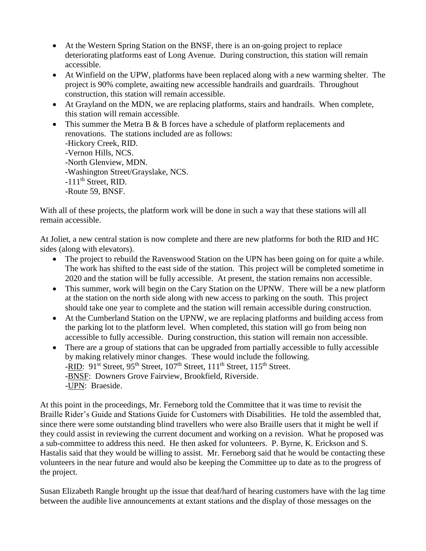- At the Western Spring Station on the BNSF, there is an on-going project to replace deteriorating platforms east of Long Avenue. During construction, this station will remain accessible.
- At Winfield on the UPW, platforms have been replaced along with a new warming shelter. The project is 90% complete, awaiting new accessible handrails and guardrails. Throughout construction, this station will remain accessible.
- At Grayland on the MDN, we are replacing platforms, stairs and handrails. When complete, this station will remain accessible.
- This summer the Metra B & B forces have a schedule of platform replacements and renovations. The stations included are as follows: -Hickory Creek, RID. -Vernon Hills, NCS. -North Glenview, MDN. -Washington Street/Grayslake, NCS.  $-111<sup>th</sup>$  Street, RID. -Route 59, BNSF.

With all of these projects, the platform work will be done in such a way that these stations will all remain accessible.

At Joliet, a new central station is now complete and there are new platforms for both the RID and HC sides (along with elevators).

- The project to rebuild the Ravenswood Station on the UPN has been going on for quite a while. The work has shifted to the east side of the station. This project will be completed sometime in 2020 and the station will be fully accessible. At present, the station remains non accessible.
- This summer, work will begin on the Cary Station on the UPNW. There will be a new platform at the station on the north side along with new access to parking on the south. This project should take one year to complete and the station will remain accessible during construction.
- At the Cumberland Station on the UPNW, we are replacing platforms and building access from the parking lot to the platform level. When completed, this station will go from being non accessible to fully accessible. During construction, this station will remain non accessible.
- There are a group of stations that can be upgraded from partially accessible to fully accessible by making relatively minor changes. These would include the following. -RID:  $91^{st}$  Street,  $95^{th}$  Street,  $107^{th}$  Street,  $111^{th}$  Street,  $115^{th}$  Street. -BNSF: Downers Grove Fairview, Brookfield, Riverside. -UPN: Braeside.

At this point in the proceedings, Mr. Ferneborg told the Committee that it was time to revisit the Braille Rider's Guide and Stations Guide for Customers with Disabilities. He told the assembled that, since there were some outstanding blind travellers who were also Braille users that it might be well if they could assist in reviewing the current document and working on a revision. What he proposed was a sub-committee to address this need. He then asked for volunteers. P. Byrne, K. Erickson and S. Hastalis said that they would be willing to assist. Mr. Ferneborg said that he would be contacting these volunteers in the near future and would also be keeping the Committee up to date as to the progress of the project.

Susan Elizabeth Rangle brought up the issue that deaf/hard of hearing customers have with the lag time between the audible live announcements at extant stations and the display of those messages on the